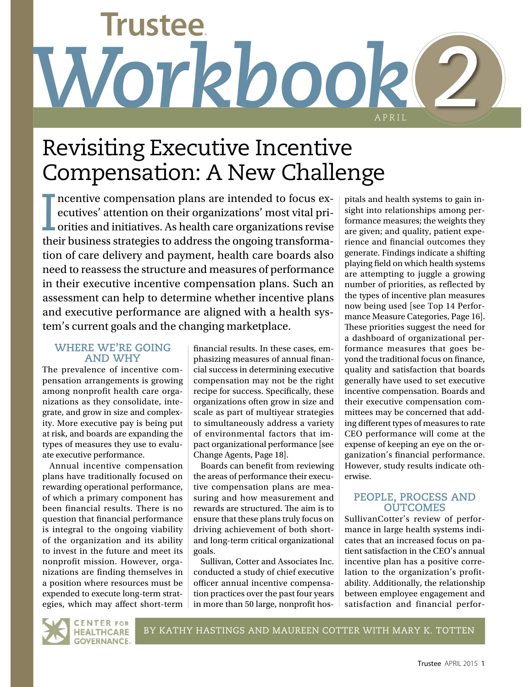# **Trustee** *Workbook 2* APRIL

# Revisiting Executive Incentive Compensation: A New Challenge

I ncentive compensation plans are intended to focus executives' attention on their organizations' most vital priorities and initiatives. As health care organizations revise their business strategies to address the ongoing transformation of care delivery and payment, health care boards also need to reassess the structure and measures of performance in their executive incentive compensation plans. Such an assessment can help to determine whether incentive plans and executive performance are aligned with a health system's current goals and the changing marketplace.

## **WHERE WE'RE GOING AND WHY**

The prevalence of incentive compensation arrangements is growing among nonprofit health care organizations as they consolidate, integrate, and grow in size and complexity. More executive pay is being put at risk, and boards are expanding the types of measures they use to evaluate executive performance.

Annual incentive compensation plans have traditionally focused on rewarding operational performance, of which a primary component has been financial results. There is no question that fnancial performance is integral to the ongoing viability of the organization and its ability to invest in the future and meet its nonprofit mission. However, organizations are finding themselves in a position where resources must be expended to execute long-term strategies, which may affect short-term

fnancial results. In these cases, emphasizing measures of annual fnancial success in determining executive compensation may not be the right recipe for success. Specifcally, these organizations often grow in size and scale as part of multiyear strategies to simultaneously address a variety of environmental factors that impact organizational performance [see Change Agents, Page 18].

Boards can beneft from reviewing the areas of performance their executive compensation plans are measuring and how measurement and rewards are structured. The aim is to ensure that these plans truly focus on driving achievement of both shortand long-term critical organizational goals.

Sullivan, Cotter and Associates Inc. conducted a study of chief executive officer annual incentive compensation practices over the past four years in more than 50 large, nonproft hos-

pitals and health systems to gain insight into relationships among performance measures; the weights they are given; and quality, patient experience and fnancial outcomes they generate. Findings indicate a shifting playing feld on which health systems are attempting to juggle a growing number of priorities, as refected by the types of incentive plan measures now being used [see Top 14 Performance Measure Categories, Page 16]. These priorities suggest the need for a dashboard of organizational performance measures that goes beyond the traditional focus on fnance, quality and satisfaction that boards generally have used to set executive incentive compensation. Boards and their executive compensation committees may be concerned that adding diferent types of measures to rate CEO performance will come at the expense of keeping an eye on the organization's fnancial performance. However, study results indicate otherwise.

## **PEOPLE, PROCESS AND OUTCOMES**

SullivanCotter's review of performance in large health systems indicates that an increased focus on patient satisfaction in the CEO's annual incentive plan has a positive correlation to the organization's profitability. Additionally, the relationship between employee engagement and satisfaction and financial perfor-

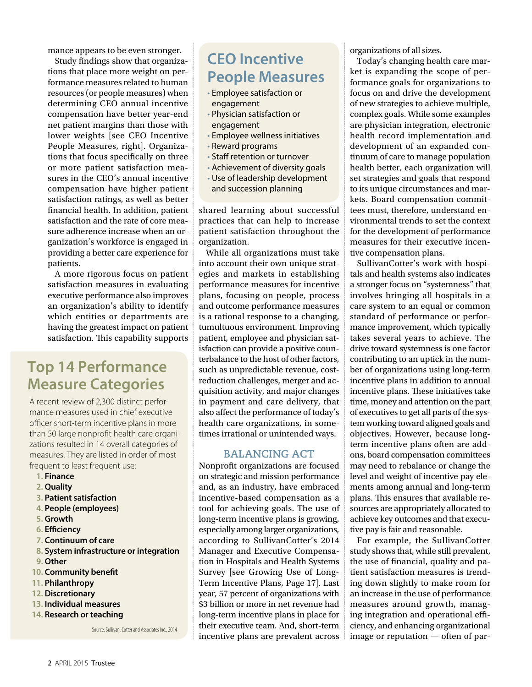mance appears to be even stronger.

Study fndings show that organizations that place more weight on performance measures related to human resources (or people measures) when determining CEO annual incentive compensation have better year-end net patient margins than those with lower weights [see CEO Incentive People Measures, right]. Organizations that focus specifcally on three or more patient satisfaction measures in the CEO's annual incentive compensation have higher patient satisfaction ratings, as well as better fnancial health. In addition, patient satisfaction and the rate of core measure adherence increase when an organization's workforce is engaged in providing a better care experience for patients.

A more rigorous focus on patient satisfaction measures in evaluating executive performance also improves an organization's ability to identify which entities or departments are having the greatest impact on patient satisfaction. This capability supports

# **Top 14 Performance Measure Categories**

A recent review of 2,300 distinct performance measures used in chief executive officer short-term incentive plans in more than 50 large nonproft health care organizations resulted in 14 overall categories of measures. They are listed in order of most frequent to least frequent use:

- **1. Finance**
- **2. Quality**
- **3. Patient satisfaction**
- **4. People (employees)**
- **5. Growth**
- **6. Efciency**
- **7. Continuum of care**
- **8. System infrastructure or integration**
- **9. Other**
- **10. Community beneft**
- **11. Philanthropy**
- **12. Discretionary**
- **13. Individual measures**
- **14. Research or teaching**

Source: Sullivan, Cotter and Associates Inc., 2014

# **CEO Incentive People Measures**

- Employee satisfaction or engagement
- Physician satisfaction or engagement
- Employee wellness initiatives
- Reward programs
- Staff retention or turnover
- Achievement of diversity goals
- Use of leadership development and succession planning

shared learning about successful practices that can help to increase patient satisfaction throughout the organization.

While all organizations must take into account their own unique strategies and markets in establishing performance measures for incentive plans, focusing on people, process and outcome performance measures is a rational response to a changing, tumultuous environment. Improving patient, employee and physician satisfaction can provide a positive counterbalance to the host of other factors, such as unpredictable revenue, costreduction challenges, merger and acquisition activity, and major changes in payment and care delivery, that also afect the performance of today's health care organizations, in sometimes irrational or unintended ways.

## **BALANCING ACT**

Nonproft organizations are focused on strategic and mission performance and, as an industry, have embraced incentive-based compensation as a tool for achieving goals. The use of long-term incentive plans is growing, especially among larger organizations, according to SullivanCotter's 2014 Manager and Executive Compensation in Hospitals and Health Systems Survey [see Growing Use of Long-Term Incentive Plans, Page 17]. Last year, 57 percent of organizations with \$3 billion or more in net revenue had long-term incentive plans in place for their executive team. And, short-term incentive plans are prevalent across organizations of all sizes.

Today's changing health care market is expanding the scope of performance goals for organizations to focus on and drive the development of new strategies to achieve multiple, complex goals. While some examples are physician integration, electronic health record implementation and development of an expanded continuum of care to manage population health better, each organization will set strategies and goals that respond to its unique circumstances and markets. Board compensation committees must, therefore, understand environmental trends to set the context for the development of performance measures for their executive incentive compensation plans.

SullivanCotter's work with hospitals and health systems also indicates a stronger focus on "systemness" that involves bringing all hospitals in a care system to an equal or common standard of performance or performance improvement, which typically takes several years to achieve. The drive toward systemness is one factor contributing to an uptick in the number of organizations using long-term incentive plans in addition to annual incentive plans. These initiatives take time, money and attention on the part of executives to get all parts of the system working toward aligned goals and objectives. However, because longterm incentive plans often are addons, board compensation committees may need to rebalance or change the level and weight of incentive pay elements among annual and long-term plans. This ensures that available resources are appropriately allocated to achieve key outcomes and that executive pay is fair and reasonable.

For example, the SullivanCotter study shows that, while still prevalent, the use of fnancial, quality and patient satisfaction measures is trending down slightly to make room for an increase in the use of performance measures around growth, managing integration and operational efficiency, and enhancing organizational image or reputation — often of par-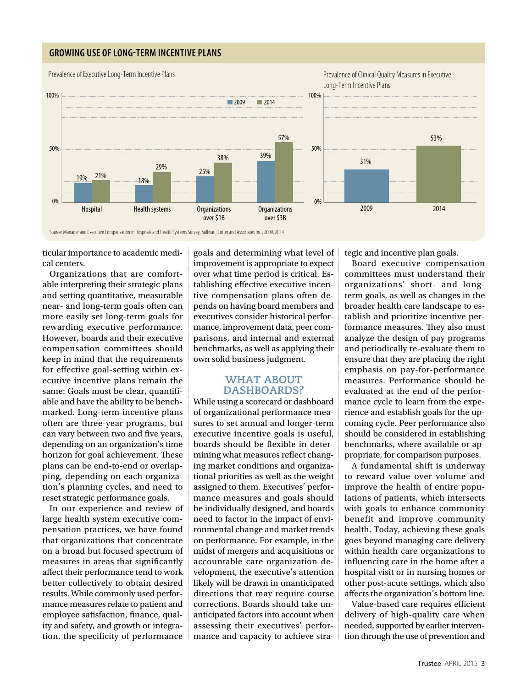## **GROWING USE OF LONG-TERM INCENTIVE PLANS**



Source: Manager and Executive Compensation in Hospitals and Health Systems Survey, Sullivan, Cotter and Associates Inc., 2009, 2014

ticular importance to academic medical centers.

Organizations that are comfortable interpreting their strategic plans and setting quantitative, measurable near- and long-term goals often can more easily set long-term goals for rewarding executive performance. However, boards and their executive compensation committees should keep in mind that the requirements for effective goal-setting within executive incentive plans remain the same: Goals must be clear, quantifable and have the ability to be benchmarked. Long-term incentive plans often are three-year programs, but can vary between two and five years, depending on an organization's time horizon for goal achievement. These plans can be end-to-end or overlapping, depending on each organization's planning cycles, and need to reset strategic performance goals.

In our experience and review of large health system executive compensation practices, we have found that organizations that concentrate on a broad but focused spectrum of measures in areas that signifcantly afect their performance tend to work better collectively to obtain desired results. While commonly used performance measures relate to patient and employee satisfaction, finance, quality and safety, and growth or integration, the specificity of performance

goals and determining what level of improvement is appropriate to expect over what time period is critical. Establishing efective executive incentive compensation plans often depends on having board members and executives consider historical performance, improvement data, peer comparisons, and internal and external benchmarks, as well as applying their own solid business judgment.

### **WHAT ABOUT DASHBOARDS?**

While using a scorecard or dashboard of organizational performance measures to set annual and longer-term executive incentive goals is useful, boards should be flexible in determining what measures refect changing market conditions and organizational priorities as well as the weight assigned to them. Executives' performance measures and goals should be individually designed, and boards need to factor in the impact of environmental change and market trends on performance. For example, in the midst of mergers and acquisitions or accountable care organization development, the executive's attention likely will be drawn in unanticipated directions that may require course corrections. Boards should take unanticipated factors into account when assessing their executives' performance and capacity to achieve strategic and incentive plan goals.

Board executive compensation committees must understand their organizations' short- and longterm goals, as well as changes in the broader health care landscape to establish and prioritize incentive performance measures. They also must analyze the design of pay programs and periodically re-evaluate them to ensure that they are placing the right emphasis on pay-for-performance measures. Performance should be evaluated at the end of the performance cycle to learn from the experience and establish goals for the upcoming cycle. Peer performance also should be considered in establishing benchmarks, where available or appropriate, for comparison purposes.

A fundamental shift is underway to reward value over volume and improve the health of entire populations of patients, which intersects with goals to enhance community benefit and improve community health. Today, achieving these goals goes beyond managing care delivery within health care organizations to infuencing care in the home after a hospital visit or in nursing homes or other post-acute settings, which also afects the organization's bottom line.

Value-based care requires efficient delivery of high-quality care when needed, supported by earlier intervention through the use of prevention and